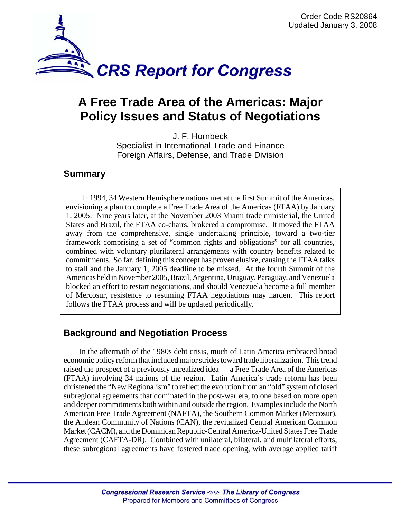

# **A Free Trade Area of the Americas: Major Policy Issues and Status of Negotiations**

J. F. Hornbeck Specialist in International Trade and Finance Foreign Affairs, Defense, and Trade Division

### **Summary**

In 1994, 34 Western Hemisphere nations met at the first Summit of the Americas, envisioning a plan to complete a Free Trade Area of the Americas (FTAA) by January 1, 2005. Nine years later, at the November 2003 Miami trade ministerial, the United States and Brazil, the FTAA co-chairs, brokered a compromise. It moved the FTAA away from the comprehensive, single undertaking principle, toward a two-tier framework comprising a set of "common rights and obligations" for all countries, combined with voluntary plurilateral arrangements with country benefits related to commitments. So far, defining this concept has proven elusive, causing the FTAA talks to stall and the January 1, 2005 deadline to be missed. At the fourth Summit of the Americas held in November 2005, Brazil, Argentina, Uruguay, Paraguay, and Venezuela blocked an effort to restart negotiations, and should Venezuela become a full member of Mercosur, resistence to resuming FTAA negotiations may harden. This report follows the FTAA process and will be updated periodically.

## **Background and Negotiation Process**

In the aftermath of the 1980s debt crisis, much of Latin America embraced broad economic policy reform that included major strides toward trade liberalization. This trend raised the prospect of a previously unrealized idea — a Free Trade Area of the Americas (FTAA) involving 34 nations of the region. Latin America's trade reform has been christened the "New Regionalism" to reflect the evolution from an "old" system of closed subregional agreements that dominated in the post-war era, to one based on more open and deeper commitments both within and outside the region. Examples include the North American Free Trade Agreement (NAFTA), the Southern Common Market (Mercosur), the Andean Community of Nations (CAN), the revitalized Central American Common Market (CACM), and the Dominican Republic-Central America-United States Free Trade Agreement (CAFTA-DR). Combined with unilateral, bilateral, and multilateral efforts, these subregional agreements have fostered trade opening, with average applied tariff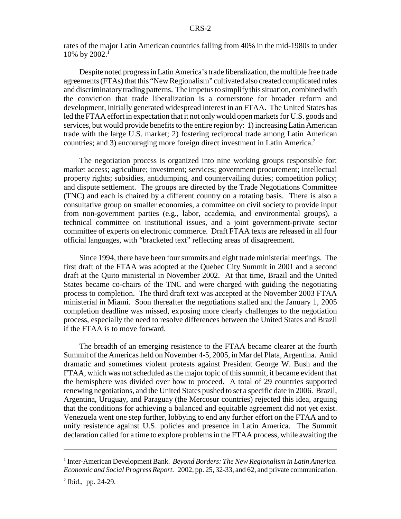rates of the major Latin American countries falling from 40% in the mid-1980s to under 10% by  $2002.<sup>1</sup>$ 

Despite noted progress in Latin America's trade liberalization, the multiple free trade agreements (FTAs) that this "New Regionalism" cultivated also created complicated rules and discriminatory trading patterns. The impetus to simplify this situation, combined with the conviction that trade liberalization is a cornerstone for broader reform and development, initially generated widespread interest in an FTAA. The United States has led the FTAA effort in expectation that it not only would open markets for U.S. goods and services, but would provide benefits to the entire region by: 1) increasing Latin American trade with the large U.S. market; 2) fostering reciprocal trade among Latin American countries; and 3) encouraging more foreign direct investment in Latin America.<sup>2</sup>

The negotiation process is organized into nine working groups responsible for: market access; agriculture; investment; services; government procurement; intellectual property rights; subsidies, antidumping, and countervailing duties; competition policy; and dispute settlement. The groups are directed by the Trade Negotiations Committee (TNC) and each is chaired by a different country on a rotating basis. There is also a consultative group on smaller economies, a committee on civil society to provide input from non-government parties (e.g., labor, academia, and environmental groups), a technical committee on institutional issues, and a joint government-private sector committee of experts on electronic commerce. Draft FTAA texts are released in all four official languages, with "bracketed text" reflecting areas of disagreement.

Since 1994, there have been four summits and eight trade ministerial meetings. The first draft of the FTAA was adopted at the Quebec City Summit in 2001 and a second draft at the Quito ministerial in November 2002. At that time, Brazil and the United States became co-chairs of the TNC and were charged with guiding the negotiating process to completion. The third draft text was accepted at the November 2003 FTAA ministerial in Miami. Soon thereafter the negotiations stalled and the January 1, 2005 completion deadline was missed, exposing more clearly challenges to the negotiation process, especially the need to resolve differences between the United States and Brazil if the FTAA is to move forward.

The breadth of an emerging resistence to the FTAA became clearer at the fourth Summit of the Americas held on November 4-5, 2005, in Mar del Plata, Argentina. Amid dramatic and sometimes violent protests against President George W. Bush and the FTAA, which was not scheduled as the major topic of this summit, it became evident that the hemisphere was divided over how to proceed. A total of 29 countries supported renewing negotiations, and the United States pushed to set a specific date in 2006. Brazil, Argentina, Uruguay, and Paraguay (the Mercosur countries) rejected this idea, arguing that the conditions for achieving a balanced and equitable agreement did not yet exist. Venezuela went one step further, lobbying to end any further effort on the FTAA and to unify resistence against U.S. policies and presence in Latin America. The Summit declaration called for a time to explore problems in the FTAA process, while awaiting the

<sup>&</sup>lt;sup>1</sup> Inter-American Development Bank. *Beyond Borders: The New Regionalism in Latin America*. *Economic and Social Progress Report*. 2002, pp. 25, 32-33, and 62, and private communication.

<sup>&</sup>lt;sup>2</sup> Ibid., pp. 24-29.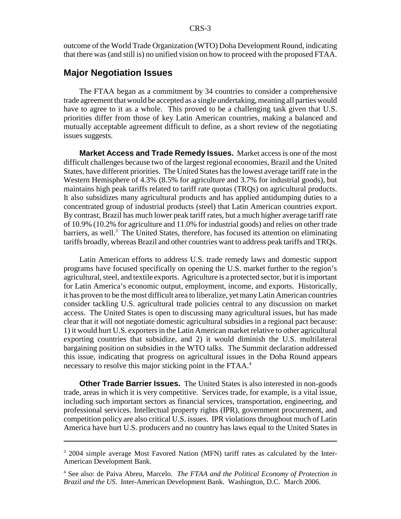outcome of the World Trade Organization (WTO) Doha Development Round, indicating that there was (and still is) no unified vision on how to proceed with the proposed FTAA.

#### **Major Negotiation Issues**

The FTAA began as a commitment by 34 countries to consider a comprehensive trade agreement that would be accepted as a single undertaking, meaning all parties would have to agree to it as a whole. This proved to be a challenging task given that U.S. priorities differ from those of key Latin American countries, making a balanced and mutually acceptable agreement difficult to define, as a short review of the negotiating issues suggests.

**Market Access and Trade Remedy Issues.** Market access is one of the most difficult challenges because two of the largest regional economies, Brazil and the United States, have different priorities. The United States has the lowest average tariff rate in the Western Hemisphere of 4.3% (8.5% for agriculture and 3.7% for industrial goods), but maintains high peak tariffs related to tariff rate quotas (TRQs) on agricultural products. It also subsidizes many agricultural products and has applied antidumping duties to a concentrated group of industrial products (steel) that Latin American countries export. By contrast, Brazil has much lower peak tariff rates, but a much higher average tariff rate of 10.9% (10.2% for agriculture and 11.0% for industrial goods) and relies on other trade barriers, as well.<sup>3</sup> The United States, therefore, has focused its attention on eliminating tariffs broadly, whereas Brazil and other countries want to address peak tariffs and TRQs.

Latin American efforts to address U.S. trade remedy laws and domestic support programs have focused specifically on opening the U.S. market further to the region's agricultural, steel, and textile exports. Agriculture is a protected sector, but it is important for Latin America's economic output, employment, income, and exports. Historically, it has proven to be the most difficult area to liberalize, yet many Latin American countries consider tackling U.S. agricultural trade policies central to any discussion on market access. The United States is open to discussing many agricultural issues, but has made clear that it will not negotiate domestic agricultural subsidies in a regional pact because: 1) it would hurt U.S. exporters in the Latin American market relative to other agricultural exporting countries that subsidize, and 2) it would diminish the U.S. multilateral bargaining position on subsidies in the WTO talks. The Summit declaration addressed this issue, indicating that progress on agricultural issues in the Doha Round appears necessary to resolve this major sticking point in the FTAA.<sup>4</sup>

**Other Trade Barrier Issues.** The United States is also interested in non-goods trade, areas in which it is very competitive. Services trade, for example, is a vital issue, including such important sectors as financial services, transportation, engineering, and professional services. Intellectual property rights (IPR), government procurement, and competition policy are also critical U.S. issues. IPR violations throughout much of Latin America have hurt U.S. producers and no country has laws equal to the United States in

<sup>&</sup>lt;sup>3</sup> 2004 simple average Most Favored Nation (MFN) tariff rates as calculated by the Inter-American Development Bank.

<sup>4</sup> See also: de Paiva Abreu, Marcelo. *The FTAA and the Political Economy of Protection in Brazil and the US*. Inter-American Development Bank. Washington, D.C. March 2006.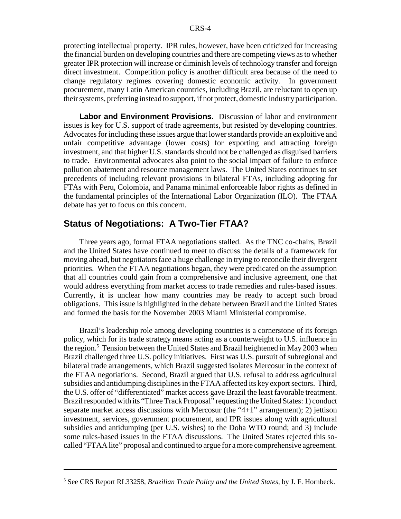protecting intellectual property. IPR rules, however, have been criticized for increasing the financial burden on developing countries and there are competing views as to whether greater IPR protection will increase or diminish levels of technology transfer and foreign direct investment. Competition policy is another difficult area because of the need to change regulatory regimes covering domestic economic activity. In government procurement, many Latin American countries, including Brazil, are reluctant to open up their systems, preferring instead to support, if not protect, domestic industry participation.

**Labor and Environment Provisions.** Discussion of labor and environment issues is key for U.S. support of trade agreements, but resisted by developing countries. Advocates for including these issues argue that lower standards provide an exploitive and unfair competitive advantage (lower costs) for exporting and attracting foreign investment, and that higher U.S. standards should not be challenged as disguised barriers to trade. Environmental advocates also point to the social impact of failure to enforce pollution abatement and resource management laws. The United States continues to set precedents of including relevant provisions in bilateral FTAs, including adopting for FTAs with Peru, Colombia, and Panama minimal enforceable labor rights as defined in the fundamental principles of the International Labor Organization (ILO). The FTAA debate has yet to focus on this concern.

#### **Status of Negotiations: A Two-Tier FTAA?**

Three years ago, formal FTAA negotiations stalled. As the TNC co-chairs, Brazil and the United States have continued to meet to discuss the details of a framework for moving ahead, but negotiators face a huge challenge in trying to reconcile their divergent priorities. When the FTAA negotiations began, they were predicated on the assumption that all countries could gain from a comprehensive and inclusive agreement, one that would address everything from market access to trade remedies and rules-based issues. Currently, it is unclear how many countries may be ready to accept such broad obligations. This issue is highlighted in the debate between Brazil and the United States and formed the basis for the November 2003 Miami Ministerial compromise.

Brazil's leadership role among developing countries is a cornerstone of its foreign policy, which for its trade strategy means acting as a counterweight to U.S. influence in the region.<sup>5</sup> Tension between the United States and Brazil heightened in May 2003 when Brazil challenged three U.S. policy initiatives. First was U.S. pursuit of subregional and bilateral trade arrangements, which Brazil suggested isolates Mercosur in the context of the FTAA negotiations. Second, Brazil argued that U.S. refusal to address agricultural subsidies and antidumping disciplines in the FTAA affected its key export sectors. Third, the U.S. offer of "differentiated" market access gave Brazil the least favorable treatment. Brazil responded with its "Three Track Proposal" requesting the United States: 1) conduct separate market access discussions with Mercosur (the "4+1" arrangement); 2) jettison investment, services, government procurement, and IPR issues along with agricultural subsidies and antidumping (per U.S. wishes) to the Doha WTO round; and 3) include some rules-based issues in the FTAA discussions. The United States rejected this socalled "FTAA lite" proposal and continued to argue for a more comprehensive agreement.

<sup>5</sup> See CRS Report RL33258, *Brazilian Trade Policy and the United States*, by J. F. Hornbeck.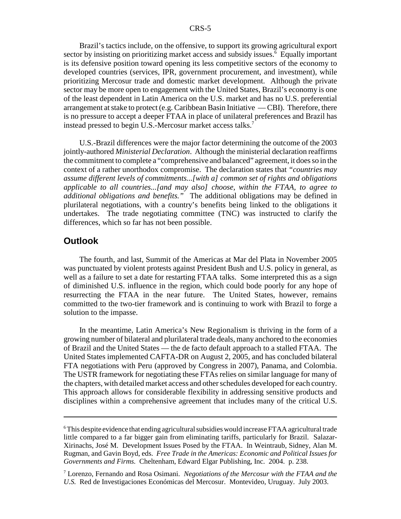Brazil's tactics include, on the offensive, to support its growing agricultural export sector by insisting on prioritizing market access and subsidy issues.<sup>6</sup> Equally important is its defensive position toward opening its less competitive sectors of the economy to developed countries (services, IPR, government procurement, and investment), while prioritizing Mercosur trade and domestic market development. Although the private sector may be more open to engagement with the United States, Brazil's economy is one of the least dependent in Latin America on the U.S. market and has no U.S. preferential arrangement at stake to protect (e.g. Caribbean Basin Initiative — CBI). Therefore, there is no pressure to accept a deeper FTAA in place of unilateral preferences and Brazil has instead pressed to begin U.S.-Mercosur market access talks.<sup>7</sup>

U.S.-Brazil differences were the major factor determining the outcome of the 2003 jointly-authored *Ministerial Declaration*. Although the ministerial declaration reaffirms the commitment to complete a "comprehensive and balanced" agreement, it does so in the context of a rather unorthodox compromise. The declaration states that *"countries may assume different levels of commitments...[with a] common set of rights and obligations applicable to all countries...[and may also] choose, within the FTAA, to agree to additional obligations and benefits."* The additional obligations may be defined in plurilateral negotiations, with a country's benefits being linked to the obligations it undertakes. The trade negotiating committee (TNC) was instructed to clarify the differences, which so far has not been possible.

#### **Outlook**

The fourth, and last, Summit of the Americas at Mar del Plata in November 2005 was punctuated by violent protests against President Bush and U.S. policy in general, as well as a failure to set a date for restarting FTAA talks. Some interpreted this as a sign of diminished U.S. influence in the region, which could bode poorly for any hope of resurrecting the FTAA in the near future. The United States, however, remains committed to the two-tier framework and is continuing to work with Brazil to forge a solution to the impasse.

In the meantime, Latin America's New Regionalism is thriving in the form of a growing number of bilateral and plurilateral trade deals, many anchored to the economies of Brazil and the United States — the de facto default approach to a stalled FTAA. The United States implemented CAFTA-DR on August 2, 2005, and has concluded bilateral FTA negotiations with Peru (approved by Congress in 2007), Panama, and Colombia. The USTR framework for negotiating these FTAs relies on similar language for many of the chapters, with detailed market access and other schedules developed for each country. This approach allows for considerable flexibility in addressing sensitive products and disciplines within a comprehensive agreement that includes many of the critical U.S.

<sup>&</sup>lt;sup>6</sup>This despite evidence that ending agricultural subsidies would increase FTAA agricultural trade little compared to a far bigger gain from eliminating tariffs, particularly for Brazil. Salazar-Xirinachs, José M. Development Issues Posed by the FTAA. In Weintraub, Sidney, Alan M. Rugman, and Gavin Boyd, eds. *Free Trade in the Americas: Economic and Political Issues for Governments and Firms.* Cheltenham, Edward Elgar Publishing, Inc. 2004. p. 238.

<sup>7</sup> Lorenzo, Fernando and Rosa Osimani. *Negotiations of the Mercosur with the FTAA and the U.S.* Red de Investigaciones Económicas del Mercosur. Montevideo, Uruguay. July 2003.